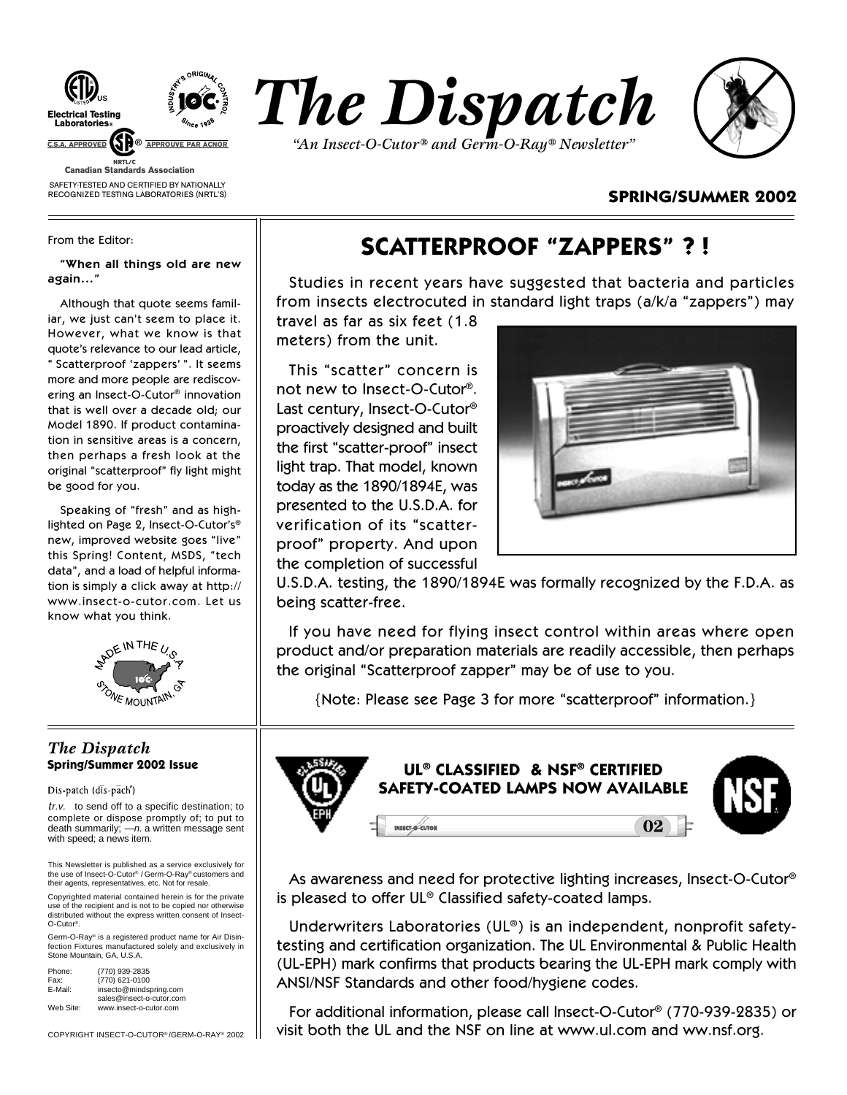

SAFETY-TESTED AND CERTIFIED BY NATIONALLY RECOGNIZED TESTING LABORATORIES (NRTL'S)





## **SPRING/SUMMER 2002**

From the Editor:

**"When all things old are new again…"**

Although that quote seems familiar, we just can't seem to place it. However, what we know is that quote's relevance to our lead article, " Scatterproof 'zappers' ". It seems more and more people are rediscovering an Insect-O-Cutor® innovation that is well over a decade old; our Model 1890. If product contamination in sensitive areas is a concern, then perhaps a fresh look at the original "scatterproof" fly light might be good for you.

Speaking of "fresh" and as highlighted on Page 2, Insect-O-Cutor's® new, improved website goes "live" this Spring! Content, MSDS, "tech data", and a load of helpful information is simply a click away at http:// www.insect-o-cutor.com. Let us know what you think.



## *The Dispatch* **Spring/Summer 2002 Issue**

Dis-patch (dis-pach')

tr.v. to send off to a specific destination; to complete or dispose promptly of; to put to death summarily;  $-n$ . a written message sent with speed; a news item.

This Newsletter is published as a service exclusively for the use of Insect-O-Cutor® / Germ-O-Ray® customers and their agents, representatives, etc. Not for resale.

Copyrighted material contained herein is for the private use of the recipient and is not to be copied nor otherwise distributed without the express written consent of Insect-O-Cutor®.

Germ-O-Ray® is a registered product name for Air Disin-fection Fixtures manufactured solely and exclusively in Stone Mountain, GA, U.S.A.

| Phone:    | (770) 939-2835           |
|-----------|--------------------------|
| Fax:      | (770) 621-0100           |
| E-Mail:   | insecto@mindspring.com   |
|           | sales@insect-o-cutor.com |
| Web Site: | www.insect-o-cutor.com   |

COPYRIGHT INSECT-O-CUTOR® /GERM-O-RAY® 2002

# **SCATTERPROOF "ZAPPERS" ? !**

Studies in recent years have suggested that bacteria and particles from insects electrocuted in standard light traps (a/k/a "zappers") may

travel as far as six feet (1.8 meters) from the unit.

This "scatter" concern is not new to Insect-O-Cutor®. Last century, Insect-O-Cutor® proactively designed and built the first "scatter-proof" insect light trap. That model, known today as the 1890/1894E, was presented to the U.S.D.A. for verification of its "scatterproof" property. And upon the completion of successful



U.S.D.A. testing, the 1890/1894E was formally recognized by the F.D.A. as being scatter-free.

If you have need for flying insect control within areas where open product and/or preparation materials are readily accessible, then perhaps the original "Scatterproof zapper" may be of use to you.

{Note: Please see Page 3 for more "scatterproof" information.}



As awareness and need for protective lighting increases, Insect-O-Cutor® is pleased to offer UL® Classified safety-coated lamps.

Underwriters Laboratories (UL®) is an independent, nonprofit safetytesting and certification organization. The UL Environmental & Public Health (UL-EPH) mark confirms that products bearing the UL-EPH mark comply with ANSI/NSF Standards and other food/hygiene codes.

For additional information, please call Insect-O-Cutor® (770-939-2835) or visit both the UL and the NSF on line at www.ul.com and ww.nsf.org.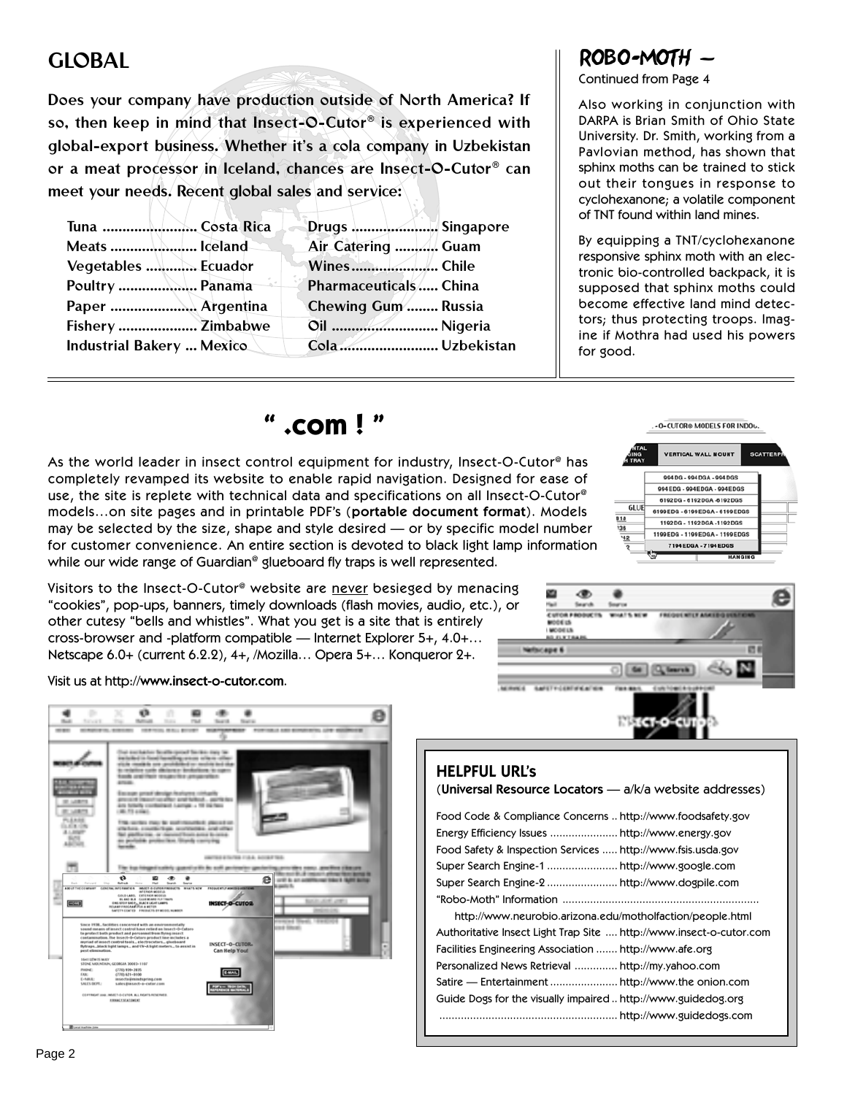# GLOBAL

Does your company have production outside of North America? If so, then keep in mind that Insect-O-Cutor® is experienced with global-export business. Whether it's a cola company in Uzbekistan or a meat processor in Iceland, chances are Insect-O-Cutor® can meet your needs. Recent global sales and service:

| Tuna  Costa Rica          | Drugs  Singapore      |  |
|---------------------------|-----------------------|--|
| Meats  Iceland            | Air Catering  Guam    |  |
| Vegetables  Ecuador       | WinesChile            |  |
| Poultry  Panama           | Pharmaceuticals China |  |
|                           | Chewing Gum  Russia   |  |
| Fishery  Zimbabwe         | Oil  Nigeria          |  |
| Industrial Bakery  Mexico | Cola  Uzbekistan      |  |

# ROBO-MOTH —

Continued from Page 4

Also working in conjunction with DARPA is Brian Smith of Ohio State University. Dr. Smith, working from a Pavlovian method, has shown that sphinx moths can be trained to stick out their tongues in response to cyclohexanone; a volatile component of TNT found within land mines.

By equipping a TNT/cyclohexanone responsive sphinx moth with an electronic bio-controlled backpack, it is supposed that sphinx moths could become effective land mind detectors; thus protecting troops. Imagine if Mothra had used his powers for good.

-0-CUTOR® MODELS FOR INDOL-

**SCATTERE** 

**VERTICAL WALL MOUNT** 

994DG - 994DGA - 994DGS 994EDG - 994EDGA - 994EDGS 6192DG - 6192DGA -6192DGS

6199EDG - 6199EDGA - 6199EDGS 1192DG - 1192DGA -1192DGS 1199EDG - 1199EDGA - 1199EDGS 7194 EDGA - 7194 EDGS

# **" .com ! "**

As the world leader in insect control equipment for industry, Insect-O-Cutor® has completely revamped its website to enable rapid navigation. Designed for ease of use, the site is replete with technical data and specifications on all Insect-O-Cutor® models…on site pages and in printable PDF's (**portable document format**). Models may be selected by the size, shape and style desired — or by specific model number for customer convenience. An entire section is devoted to black light lamp information while our wide range of Guardian<sup>®</sup> glueboard fly traps is well represented.

Visitors to the Insect-O-Cutor<sup>®</sup> website are never besieged by menacing "cookies", pop-ups, banners, timely downloads (flash movies, audio, etc.), or other cutesy "bells and whistles". What you get is a site that is entirely cross-browser and -platform compatible — Internet Explorer 5+, 4.0+… Netscape 6.0+ (current 6.2.2), 4+, /Mozilla… Opera 5+… Konqueror 2+.

Visit us at http://**www.insect-o-cutor.com**.





 $GLU$ 

| <b>HELPFUL URL'S</b><br>(Universal Resource Locators - a/k/a website addresses)                                                                                                                                              |  |
|------------------------------------------------------------------------------------------------------------------------------------------------------------------------------------------------------------------------------|--|
| Food Code & Compliance Concerns  http://www.foodsafety.gov<br>Energy Efficiency Issues  http://www.energy.gov<br>Food Safety & Inspection Services  http://www.fsis.usda.gov<br>Super Search Engine-1  http://www.google.com |  |
| http://www.neurobio.arizona.edu/motholfaction/people.html                                                                                                                                                                    |  |
| Authoritative Insect Light Trap Site  http://www.insect-o-cutor.com<br>Facilities Engineering Association  http://www.afe.org<br>Personalized News Retrieval  http://my.yahoo.com                                            |  |
| Guide Dogs for the visually impaired http://www.guidedog.org                                                                                                                                                                 |  |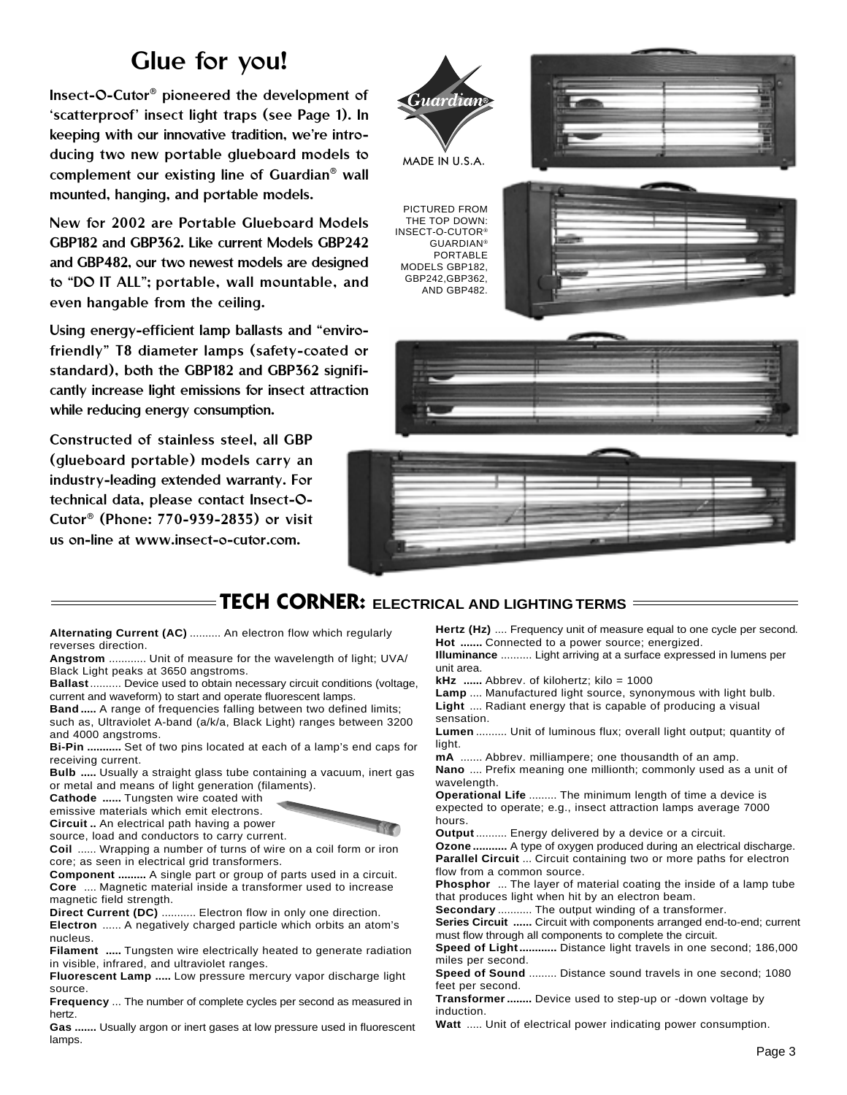# Glue for you!

Insect-O-Cutor® pioneered the development of 'scatterproof' insect light traps (see Page 1). In keeping with our innovative tradition, we're introducing two new portable glueboard models to complement our existing line of Guardian® wall mounted, hanging, and portable models.

New for 2002 are Portable Glueboard Models GBP182 and GBP362. Like current Models GBP242 and GBP482, our two newest models are designed to "DO IT ALL"; portable, wall mountable, and even hangable from the ceiling.

Using energy-efficient lamp ballasts and "envirofriendly" T8 diameter lamps (safety-coated or standard), both the GBP182 and GBP362 significantly increase light emissions for insect attraction while reducing energy consumption.

Constructed of stainless steel, all GBP (glueboard portable) models carry an industry-leading extended warranty. For technical data, please contact Insect-O-Cutor® (Phone: 770-939-2835) or visit us on-line at www.insect-o-cutor.com.



## **TECH CORNER: ELECTRICAL AND LIGHTING TERMS**

**Alternating Current (AC)** .......... An electron flow which regularly reverses direction.

**Angstrom** ............ Unit of measure for the wavelength of light; UVA/ Black Light peaks at 3650 angstroms.

**Ballast**.......... Device used to obtain necessary circuit conditions (voltage, current and waveform) to start and operate fluorescent lamps.

**Band .....** A range of frequencies falling between two defined limits; such as, Ultraviolet A-band (a/k/a, Black Light) ranges between 3200 and 4000 angstroms.

**Bi-Pin ...........** Set of two pins located at each of a lamp's end caps for receiving current.

**Bulb .....** Usually a straight glass tube containing a vacuum, inert gas or metal and means of light generation (filaments).

**Cathode ......** Tungsten wire coated with

emissive materials which emit electrons.

**Circuit ..** An electrical path having a power

source, load and conductors to carry current.

**Coil** ...... Wrapping a number of turns of wire on a coil form or iron core; as seen in electrical grid transformers.

**Component .........** A single part or group of parts used in a circuit. **Core** .... Magnetic material inside a transformer used to increase magnetic field strength.

**Direct Current (DC)** ........... Electron flow in only one direction. **Electron** ...... A negatively charged particle which orbits an atom's

nucleus. **Filament .....** Tungsten wire electrically heated to generate radiation

in visible, infrared, and ultraviolet ranges.

**Fluorescent Lamp .....** Low pressure mercury vapor discharge light source.

**Frequency** ... The number of complete cycles per second as measured in hertz.

**Gas .......** Usually argon or inert gases at low pressure used in fluorescent lamps.

**Hertz (Hz)** .... Frequency unit of measure equal to one cycle per second. **Hot .......** Connected to a power source; energized.

**Illuminance** .......... Light arriving at a surface expressed in lumens per unit area.

**kHz** ...... Abbrev. of kilohertz; kilo = 1000

**Lamp** .... Manufactured light source, synonymous with light bulb. **Light** .... Radiant energy that is capable of producing a visual sensation.

**Lumen** .......... Unit of luminous flux; overall light output; quantity of light.

**mA** ....... Abbrev. milliampere; one thousandth of an amp.

**Nano** .... Prefix meaning one millionth; commonly used as a unit of wavelength.

**Operational Life** ......... The minimum length of time a device is expected to operate; e.g., insect attraction lamps average 7000 hours.

**Output** .......... Energy delivered by a device or a circuit.

**Ozone ...........** A type of oxygen produced during an electrical discharge. **Parallel Circuit** ... Circuit containing two or more paths for electron flow from a common source.

**Phosphor** ... The layer of material coating the inside of a lamp tube that produces light when hit by an electron beam.

**Secondary** ........... The output winding of a transformer.

**Series Circuit ......** Circuit with components arranged end-to-end; current

must flow through all components to complete the circuit. **Speed of Light............** Distance light travels in one second; 186,000 miles per second.

**Speed of Sound** ......... Distance sound travels in one second; 1080 feet per second.

**Transformer........** Device used to step-up or -down voltage by induction.

**Watt** ..... Unit of electrical power indicating power consumption.